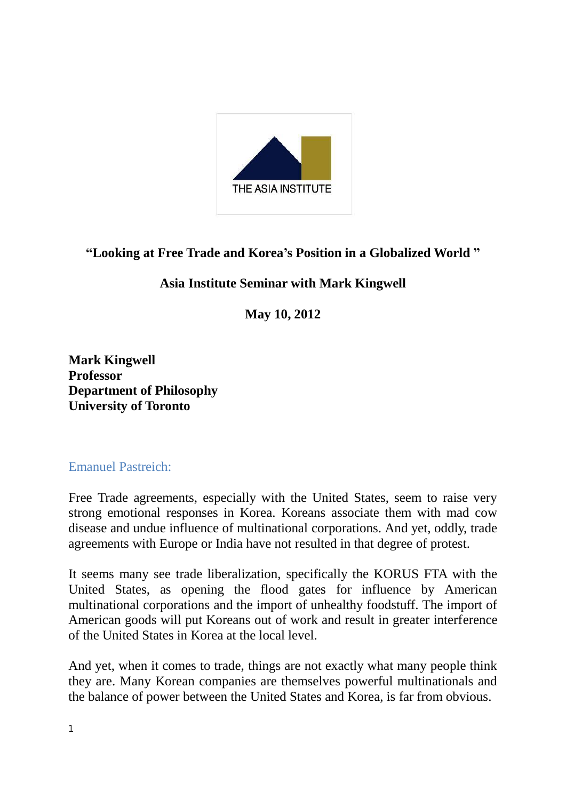

# **"Looking at Free Trade and Korea's Position in a Globalized World "**

# **Asia Institute Seminar with Mark Kingwell**

**May 10, 2012**

**Mark Kingwell Professor Department of Philosophy University of Toronto**

### Emanuel Pastreich:

Free Trade agreements, especially with the United States, seem to raise very strong emotional responses in Korea. Koreans associate them with mad cow disease and undue influence of multinational corporations. And yet, oddly, trade agreements with Europe or India have not resulted in that degree of protest.

It seems many see trade liberalization, specifically the KORUS FTA with the United States, as opening the flood gates for influence by American multinational corporations and the import of unhealthy foodstuff. The import of American goods will put Koreans out of work and result in greater interference of the United States in Korea at the local level.

And yet, when it comes to trade, things are not exactly what many people think they are. Many Korean companies are themselves powerful multinationals and the balance of power between the United States and Korea, is far from obvious.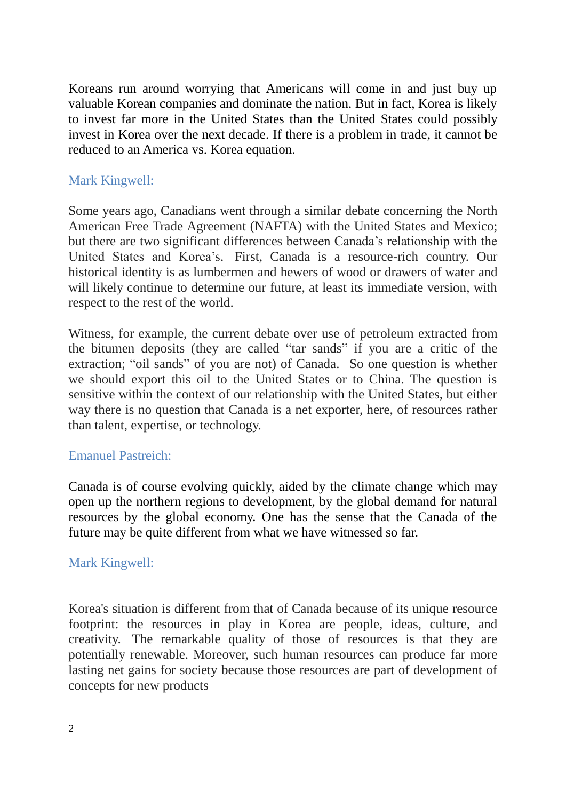Koreans run around worrying that Americans will come in and just buy up valuable Korean companies and dominate the nation. But in fact, Korea is likely to invest far more in the United States than the United States could possibly invest in Korea over the next decade. If there is a problem in trade, it cannot be reduced to an America vs. Korea equation.

### Mark Kingwell:

Some years ago, Canadians went through a similar debate concerning the North American Free Trade Agreement (NAFTA) with the United States and Mexico; but there are two significant differences between Canada's relationship with the United States and Korea's. First, Canada is a resource-rich country. Our historical identity is as lumbermen and hewers of wood or drawers of water and will likely continue to determine our future, at least its immediate version, with respect to the rest of the world.

Witness, for example, the current debate over use of petroleum extracted from the bitumen deposits (they are called "tar sands" if you are a critic of the extraction; "oil sands" of you are not) of Canada. So one question is whether we should export this oil to the United States or to China. The question is sensitive within the context of our relationship with the United States, but either way there is no question that Canada is a net exporter, here, of resources rather than talent, expertise, or technology.

### Emanuel Pastreich:

Canada is of course evolving quickly, aided by the climate change which may open up the northern regions to development, by the global demand for natural resources by the global economy. One has the sense that the Canada of the future may be quite different from what we have witnessed so far.

### Mark Kingwell:

Korea's situation is different from that of Canada because of its unique resource footprint: the resources in play in Korea are people, ideas, culture, and creativity. The remarkable quality of those of resources is that they are potentially renewable. Moreover, such human resources can produce far more lasting net gains for society because those resources are part of development of concepts for new products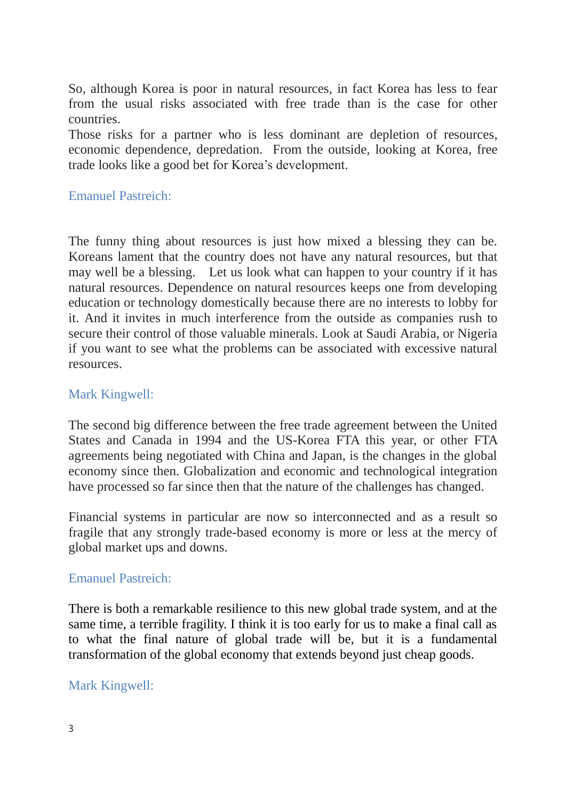So, although Korea is poor in natural resources, in fact Korea has less to fear from the usual risks associated with free trade than is the case for other countries.

Those risks for a partner who is less dominant are depletion of resources, economic dependence, depredation. From the outside, looking at Korea, free trade looks like a good bet for Korea's development.

#### Emanuel Pastreich:

The funny thing about resources is just how mixed a blessing they can be. Koreans lament that the country does not have any natural resources, but that may well be a blessing. Let us look what can happen to your country if it has natural resources. Dependence on natural resources keeps one from developing education or technology domestically because there are no interests to lobby for it. And it invites in much interference from the outside as companies rush to secure their control of those valuable minerals. Look at Saudi Arabia, or Nigeria if you want to see what the problems can be associated with excessive natural resources.

### Mark Kingwell:

The second big difference between the free trade agreement between the United States and Canada in 1994 and the US-Korea FTA this year, or other FTA agreements being negotiated with China and Japan, is the changes in the global economy since then. Globalization and economic and technological integration have processed so far since then that the nature of the challenges has changed.

Financial systems in particular are now so interconnected and as a result so fragile that any strongly trade-based economy is more or less at the mercy of global market ups and downs.

#### Emanuel Pastreich:

There is both a remarkable resilience to this new global trade system, and at the same time, a terrible fragility. I think it is too early for us to make a final call as to what the final nature of global trade will be, but it is a fundamental transformation of the global economy that extends beyond just cheap goods.

### Mark Kingwell: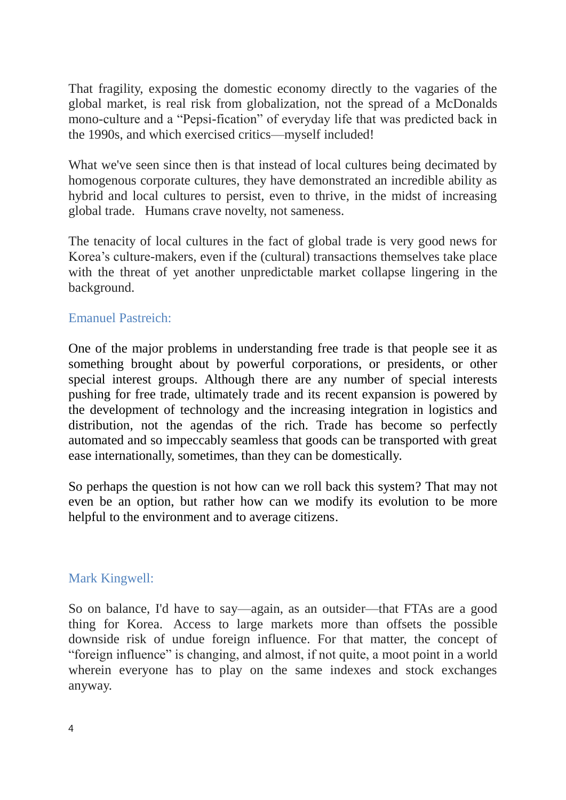That fragility, exposing the domestic economy directly to the vagaries of the global market, is real risk from globalization, not the spread of a McDonalds mono-culture and a "Pepsi-fication" of everyday life that was predicted back in the 1990s, and which exercised critics—myself included!

What we've seen since then is that instead of local cultures being decimated by homogenous corporate cultures, they have demonstrated an incredible ability as hybrid and local cultures to persist, even to thrive, in the midst of increasing global trade. Humans crave novelty, not sameness.

The tenacity of local cultures in the fact of global trade is very good news for Korea's culture-makers, even if the (cultural) transactions themselves take place with the threat of yet another unpredictable market collapse lingering in the background.

### Emanuel Pastreich:

One of the major problems in understanding free trade is that people see it as something brought about by powerful corporations, or presidents, or other special interest groups. Although there are any number of special interests pushing for free trade, ultimately trade and its recent expansion is powered by the development of technology and the increasing integration in logistics and distribution, not the agendas of the rich. Trade has become so perfectly automated and so impeccably seamless that goods can be transported with great ease internationally, sometimes, than they can be domestically.

So perhaps the question is not how can we roll back this system? That may not even be an option, but rather how can we modify its evolution to be more helpful to the environment and to average citizens.

### Mark Kingwell:

So on balance, I'd have to say—again, as an outsider—that FTAs are a good thing for Korea. Access to large markets more than offsets the possible downside risk of undue foreign influence. For that matter, the concept of "foreign influence" is changing, and almost, if not quite, a moot point in a world wherein everyone has to play on the same indexes and stock exchanges anyway.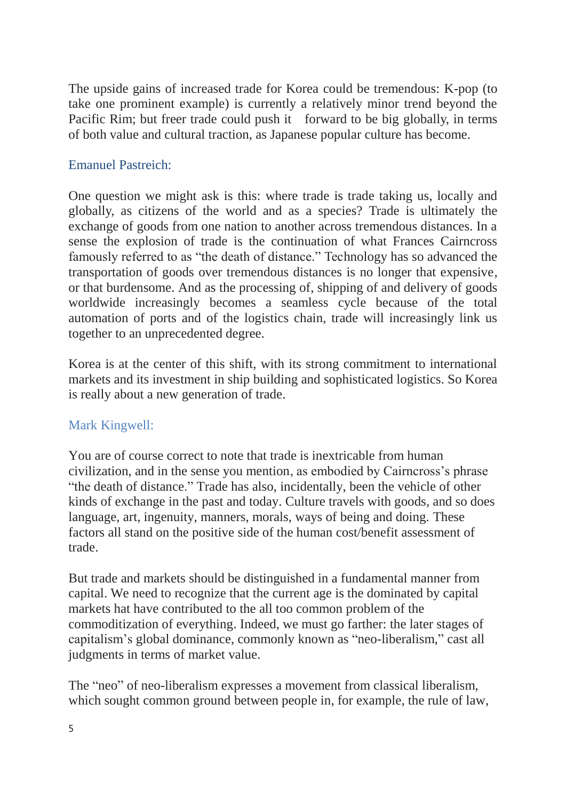The upside gains of increased trade for Korea could be tremendous: K-pop (to take one prominent example) is currently a relatively minor trend beyond the Pacific Rim; but freer trade could push it forward to be big globally, in terms of both value and cultural traction, as Japanese popular culture has become.

# Emanuel Pastreich:

One question we might ask is this: where trade is trade taking us, locally and globally, as citizens of the world and as a species? Trade is ultimately the exchange of goods from one nation to another across tremendous distances. In a sense the explosion of trade is the continuation of what Frances Cairncross famously referred to as "the death of distance." Technology has so advanced the transportation of goods over tremendous distances is no longer that expensive, or that burdensome. And as the processing of, shipping of and delivery of goods worldwide increasingly becomes a seamless cycle because of the total automation of ports and of the logistics chain, trade will increasingly link us together to an unprecedented degree.

Korea is at the center of this shift, with its strong commitment to international markets and its investment in ship building and sophisticated logistics. So Korea is really about a new generation of trade.

# Mark Kingwell:

You are of course correct to note that trade is inextricable from human civilization, and in the sense you mention, as embodied by Cairncross's phrase "the death of distance." Trade has also, incidentally, been the vehicle of other kinds of exchange in the past and today. Culture travels with goods, and so does language, art, ingenuity, manners, morals, ways of being and doing. These factors all stand on the positive side of the human cost/benefit assessment of trade.

But trade and markets should be distinguished in a fundamental manner from capital. We need to recognize that the current age is the dominated by capital markets hat have contributed to the all too common problem of the commoditization of everything. Indeed, we must go farther: the later stages of capitalism's global dominance, commonly known as "neo-liberalism," cast all judgments in terms of market value.

The "neo" of neo-liberalism expresses a movement from classical liberalism, which sought common ground between people in, for example, the rule of law,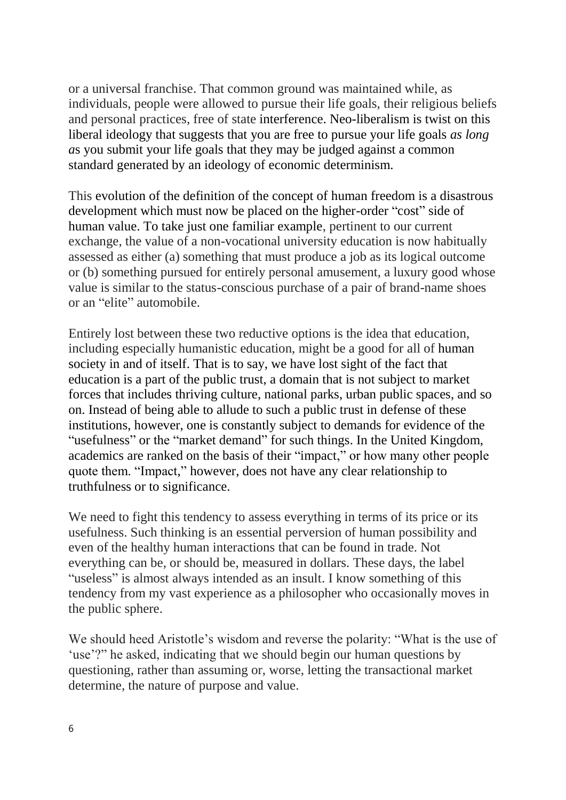or a universal franchise. That common ground was maintained while, as individuals, people were allowed to pursue their life goals, their religious beliefs and personal practices, free of state interference. Neo-liberalism is twist on this liberal ideology that suggests that you are free to pursue your life goals *as long a*s you submit your life goals that they may be judged against a common standard generated by an ideology of economic determinism.

This evolution of the definition of the concept of human freedom is a disastrous development which must now be placed on the higher-order "cost" side of human value. To take just one familiar example, pertinent to our current exchange, the value of a non-vocational university education is now habitually assessed as either (a) something that must produce a job as its logical outcome or (b) something pursued for entirely personal amusement, a luxury good whose value is similar to the status-conscious purchase of a pair of brand-name shoes or an "elite" automobile.

Entirely lost between these two reductive options is the idea that education, including especially humanistic education, might be a good for all of human society in and of itself. That is to say, we have lost sight of the fact that education is a part of the public trust, a domain that is not subject to market forces that includes thriving culture, national parks, urban public spaces, and so on. Instead of being able to allude to such a public trust in defense of these institutions, however, one is constantly subject to demands for evidence of the "usefulness" or the "market demand" for such things. In the United Kingdom, academics are ranked on the basis of their "impact," or how many other people quote them. "Impact," however, does not have any clear relationship to truthfulness or to significance.

We need to fight this tendency to assess everything in terms of its price or its usefulness. Such thinking is an essential perversion of human possibility and even of the healthy human interactions that can be found in trade. Not everything can be, or should be, measured in dollars. These days, the label "useless" is almost always intended as an insult. I know something of this tendency from my vast experience as a philosopher who occasionally moves in the public sphere.

We should heed Aristotle's wisdom and reverse the polarity: "What is the use of 'use'?" he asked, indicating that we should begin our human questions by questioning, rather than assuming or, worse, letting the transactional market determine, the nature of purpose and value.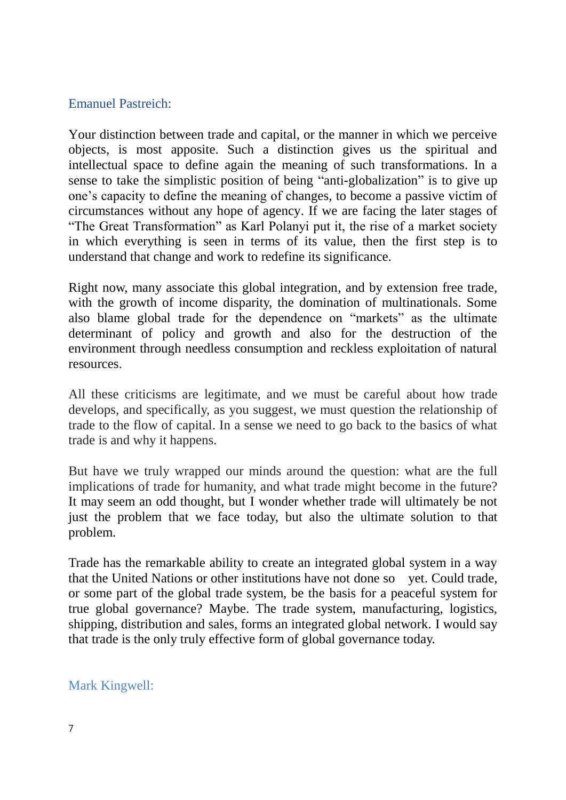### Emanuel Pastreich:

Your distinction between trade and capital, or the manner in which we perceive objects, is most apposite. Such a distinction gives us the spiritual and intellectual space to define again the meaning of such transformations. In a sense to take the simplistic position of being "anti-globalization" is to give up one's capacity to define the meaning of changes, to become a passive victim of circumstances without any hope of agency. If we are facing the later stages of "The Great Transformation" as Karl Polanyi put it, the rise of a market society in which everything is seen in terms of its value, then the first step is to understand that change and work to redefine its significance.

Right now, many associate this global integration, and by extension free trade, with the growth of income disparity, the domination of multinationals. Some also blame global trade for the dependence on "markets" as the ultimate determinant of policy and growth and also for the destruction of the environment through needless consumption and reckless exploitation of natural resources.

All these criticisms are legitimate, and we must be careful about how trade develops, and specifically, as you suggest, we must question the relationship of trade to the flow of capital. In a sense we need to go back to the basics of what trade is and why it happens.

But have we truly wrapped our minds around the question: what are the full implications of trade for humanity, and what trade might become in the future? It may seem an odd thought, but I wonder whether trade will ultimately be not just the problem that we face today, but also the ultimate solution to that problem.

Trade has the remarkable ability to create an integrated global system in a way that the United Nations or other institutions have not done so vet. Could trade, or some part of the global trade system, be the basis for a peaceful system for true global governance? Maybe. The trade system, manufacturing, logistics, shipping, distribution and sales, forms an integrated global network. I would say that trade is the only truly effective form of global governance today.

# Mark Kingwell: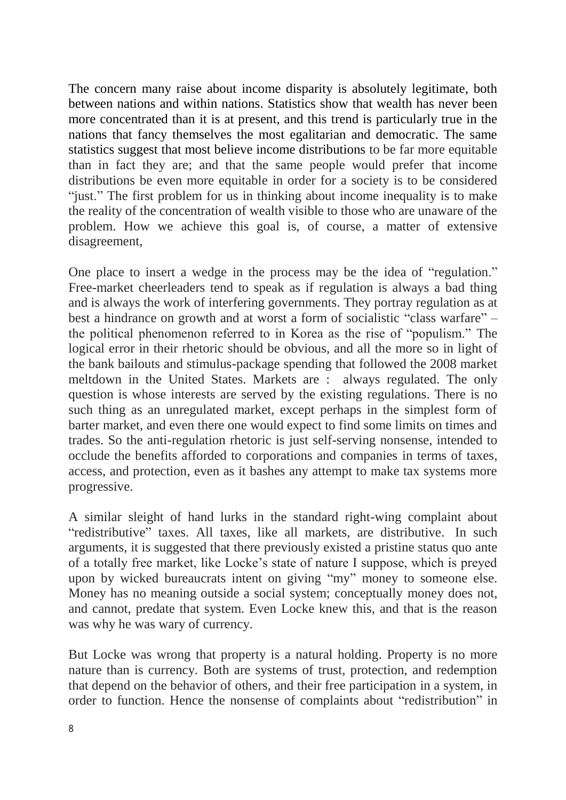The concern many raise about income disparity is absolutely legitimate, both between nations and within nations. Statistics show that wealth has never been more concentrated than it is at present, and this trend is particularly true in the nations that fancy themselves the most egalitarian and democratic. The same statistics suggest that most believe income distributions to be far more equitable than in fact they are; and that the same people would prefer that income distributions be even more equitable in order for a society is to be considered "just." The first problem for us in thinking about income inequality is to make the reality of the concentration of wealth visible to those who are unaware of the problem. How we achieve this goal is, of course, a matter of extensive disagreement,

One place to insert a wedge in the process may be the idea of "regulation." Free-market cheerleaders tend to speak as if regulation is always a bad thing and is always the work of interfering governments. They portray regulation as at best a hindrance on growth and at worst a form of socialistic "class warfare" – the political phenomenon referred to in Korea as the rise of "populism." The logical error in their rhetoric should be obvious, and all the more so in light of the bank bailouts and stimulus-package spending that followed the 2008 market meltdown in the United States. Markets are : always regulated. The only question is whose interests are served by the existing regulations. There is no such thing as an unregulated market, except perhaps in the simplest form of barter market, and even there one would expect to find some limits on times and trades. So the anti-regulation rhetoric is just self-serving nonsense, intended to occlude the benefits afforded to corporations and companies in terms of taxes, access, and protection, even as it bashes any attempt to make tax systems more progressive.

A similar sleight of hand lurks in the standard right-wing complaint about "redistributive" taxes. All taxes, like all markets, are distributive. In such arguments, it is suggested that there previously existed a pristine status quo ante of a totally free market, like Locke's state of nature I suppose, which is preyed upon by wicked bureaucrats intent on giving "my" money to someone else. Money has no meaning outside a social system; conceptually money does not, and cannot, predate that system. Even Locke knew this, and that is the reason was why he was wary of currency.

But Locke was wrong that property is a natural holding. Property is no more nature than is currency. Both are systems of trust, protection, and redemption that depend on the behavior of others, and their free participation in a system, in order to function. Hence the nonsense of complaints about "redistribution" in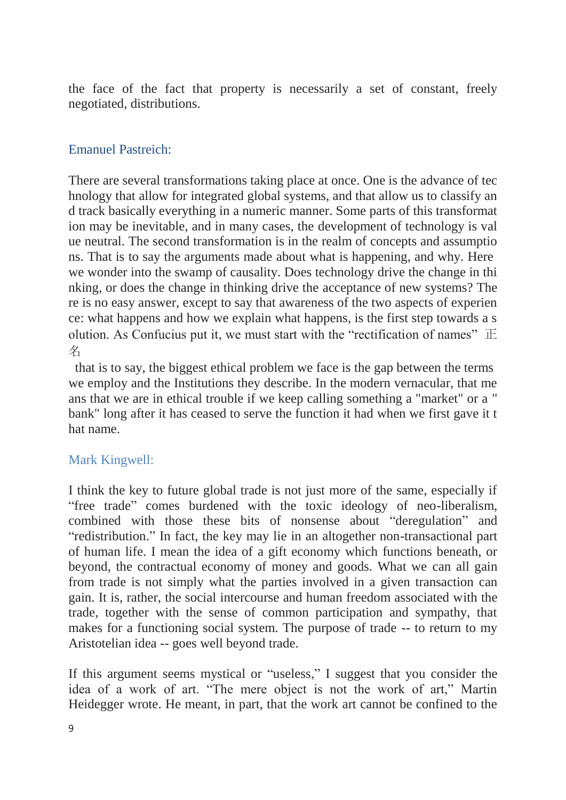the face of the fact that property is necessarily a set of constant, freely negotiated, distributions.

### Emanuel Pastreich:

There are several transformations taking place at once. One is the advance of tec hnology that allow for integrated global systems, and that allow us to classify an d track basically everything in a numeric manner. Some parts of this transformat ion may be inevitable, and in many cases, the development of technology is val ue neutral. The second transformation is in the realm of concepts and assumptio ns. That is to say the arguments made about what is happening, and why. Here we wonder into the swamp of causality. Does technology drive the change in thi nking, or does the change in thinking drive the acceptance of new systems? The re is no easy answer, except to say that awareness of the two aspects of experien ce: what happens and how we explain what happens, is the first step towards a s olution. As Confucius put it, we must start with the "rectification of names"  $\mathbb E$ 名

that is to say, the biggest ethical problem we face is the gap between the terms we employ and the Institutions they describe. In the modern vernacular, that me ans that we are in ethical trouble if we keep calling something a "market" or a " bank" long after it has ceased to serve the function it had when we first gave it t hat name.

# Mark Kingwell:

I think the key to future global trade is not just more of the same, especially if "free trade" comes burdened with the toxic ideology of neo-liberalism, combined with those these bits of nonsense about "deregulation" and "redistribution." In fact, the key may lie in an altogether non-transactional part of human life. I mean the idea of a gift economy which functions beneath, or beyond, the contractual economy of money and goods. What we can all gain from trade is not simply what the parties involved in a given transaction can gain. It is, rather, the social intercourse and human freedom associated with the trade, together with the sense of common participation and sympathy, that makes for a functioning social system. The purpose of trade -- to return to my Aristotelian idea -- goes well beyond trade.

If this argument seems mystical or "useless," I suggest that you consider the idea of a work of art. "The mere object is not the work of art," Martin Heidegger wrote. He meant, in part, that the work art cannot be confined to the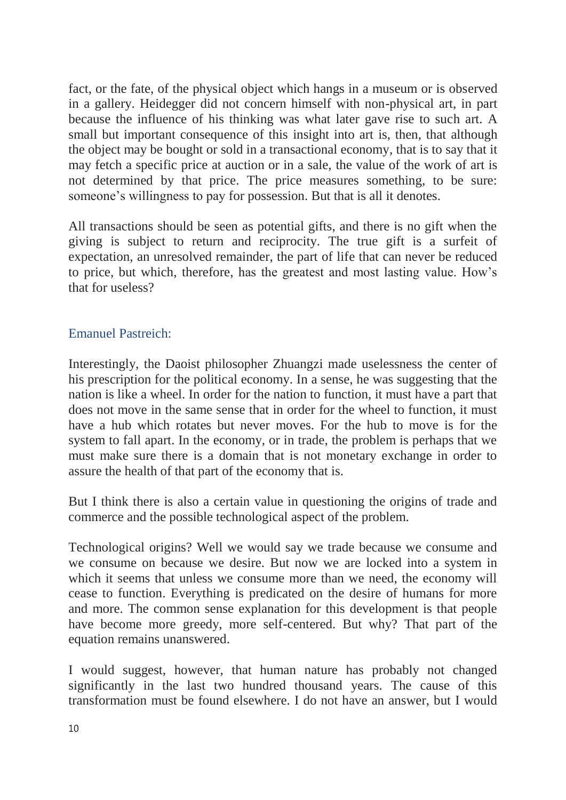fact, or the fate, of the physical object which hangs in a museum or is observed in a gallery. Heidegger did not concern himself with non-physical art, in part because the influence of his thinking was what later gave rise to such art. A small but important consequence of this insight into art is, then, that although the object may be bought or sold in a transactional economy, that is to say that it may fetch a specific price at auction or in a sale, the value of the work of art is not determined by that price. The price measures something, to be sure: someone's willingness to pay for possession. But that is all it denotes.

All transactions should be seen as potential gifts, and there is no gift when the giving is subject to return and reciprocity. The true gift is a surfeit of expectation, an unresolved remainder, the part of life that can never be reduced to price, but which, therefore, has the greatest and most lasting value. How's that for useless?

### Emanuel Pastreich:

Interestingly, the Daoist philosopher Zhuangzi made uselessness the center of his prescription for the political economy. In a sense, he was suggesting that the nation is like a wheel. In order for the nation to function, it must have a part that does not move in the same sense that in order for the wheel to function, it must have a hub which rotates but never moves. For the hub to move is for the system to fall apart. In the economy, or in trade, the problem is perhaps that we must make sure there is a domain that is not monetary exchange in order to assure the health of that part of the economy that is.

But I think there is also a certain value in questioning the origins of trade and commerce and the possible technological aspect of the problem.

Technological origins? Well we would say we trade because we consume and we consume on because we desire. But now we are locked into a system in which it seems that unless we consume more than we need, the economy will cease to function. Everything is predicated on the desire of humans for more and more. The common sense explanation for this development is that people have become more greedy, more self-centered. But why? That part of the equation remains unanswered.

I would suggest, however, that human nature has probably not changed significantly in the last two hundred thousand years. The cause of this transformation must be found elsewhere. I do not have an answer, but I would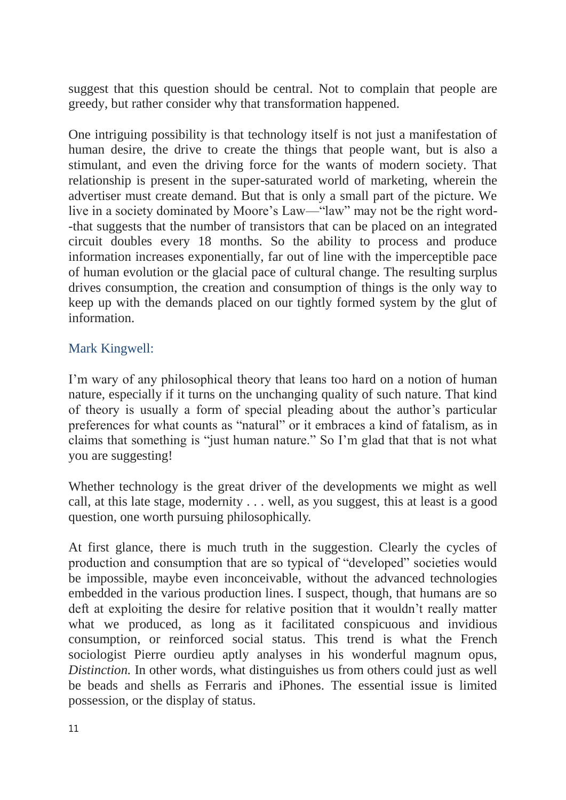suggest that this question should be central. Not to complain that people are greedy, but rather consider why that transformation happened.

One intriguing possibility is that technology itself is not just a manifestation of human desire, the drive to create the things that people want, but is also a stimulant, and even the driving force for the wants of modern society. That relationship is present in the super-saturated world of marketing, wherein the advertiser must create demand. But that is only a small part of the picture. We live in a society dominated by Moore's Law—"law" may not be the right word- -that suggests that the number of transistors that can be placed on an integrated circuit doubles every 18 months. So the ability to process and produce information increases exponentially, far out of line with the imperceptible pace of human evolution or the glacial pace of cultural change. The resulting surplus drives consumption, the creation and consumption of things is the only way to keep up with the demands placed on our tightly formed system by the glut of information.

# Mark Kingwell:

I'm wary of any philosophical theory that leans too hard on a notion of human nature, especially if it turns on the unchanging quality of such nature. That kind of theory is usually a form of special pleading about the author's particular preferences for what counts as "natural" or it embraces a kind of fatalism, as in claims that something is "just human nature." So I'm glad that that is not what you are suggesting!

Whether technology is the great driver of the developments we might as well call, at this late stage, modernity . . . well, as you suggest, this at least is a good question, one worth pursuing philosophically.

At first glance, there is much truth in the suggestion. Clearly the cycles of production and consumption that are so typical of "developed" societies would be impossible, maybe even inconceivable, without the advanced technologies embedded in the various production lines. I suspect, though, that humans are so deft at exploiting the desire for relative position that it wouldn't really matter what we produced, as long as it facilitated conspicuous and invidious consumption, or reinforced social status. This trend is what the French sociologist Pierre ourdieu aptly analyses in his wonderful magnum opus, *Distinction.* In other words, what distinguishes us from others could just as well be beads and shells as Ferraris and iPhones. The essential issue is limited possession, or the display of status.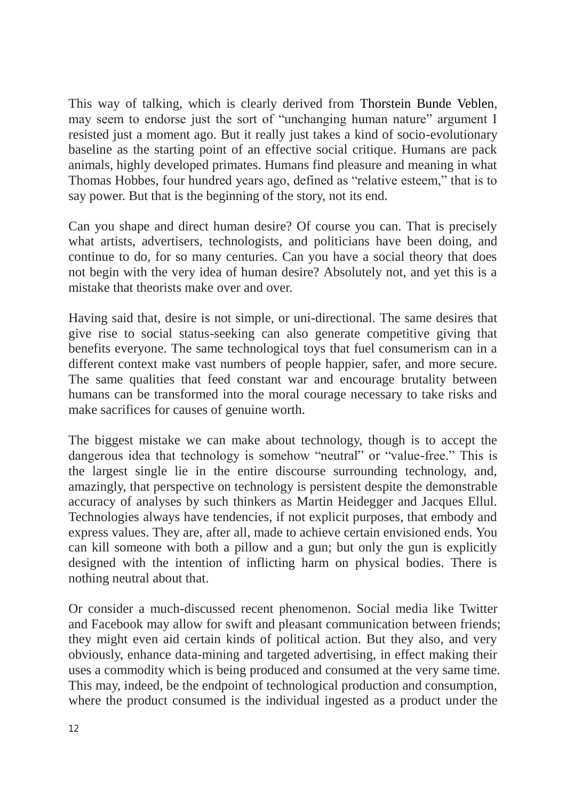This way of talking, which is clearly derived from Thorstein Bunde Veblen, may seem to endorse just the sort of "unchanging human nature" argument I resisted just a moment ago. But it really just takes a kind of socio-evolutionary baseline as the starting point of an effective social critique. Humans are pack animals, highly developed primates. Humans find pleasure and meaning in what Thomas Hobbes, four hundred years ago, defined as "relative esteem," that is to say power. But that is the beginning of the story, not its end.

Can you shape and direct human desire? Of course you can. That is precisely what artists, advertisers, technologists, and politicians have been doing, and continue to do, for so many centuries. Can you have a social theory that does not begin with the very idea of human desire? Absolutely not, and yet this is a mistake that theorists make over and over.

Having said that, desire is not simple, or uni-directional. The same desires that give rise to social status-seeking can also generate competitive giving that benefits everyone. The same technological toys that fuel consumerism can in a different context make vast numbers of people happier, safer, and more secure. The same qualities that feed constant war and encourage brutality between humans can be transformed into the moral courage necessary to take risks and make sacrifices for causes of genuine worth.

The biggest mistake we can make about technology, though is to accept the dangerous idea that technology is somehow "neutral" or "value-free." This is the largest single lie in the entire discourse surrounding technology, and, amazingly, that perspective on technology is persistent despite the demonstrable accuracy of analyses by such thinkers as Martin Heidegger and Jacques Ellul. Technologies always have tendencies, if not explicit purposes, that embody and express values. They are, after all, made to achieve certain envisioned ends. You can kill someone with both a pillow and a gun; but only the gun is explicitly designed with the intention of inflicting harm on physical bodies. There is nothing neutral about that.

Or consider a much-discussed recent phenomenon. Social media like Twitter and Facebook may allow for swift and pleasant communication between friends; they might even aid certain kinds of political action. But they also, and very obviously, enhance data-mining and targeted advertising, in effect making their uses a commodity which is being produced and consumed at the very same time. This may, indeed, be the endpoint of technological production and consumption, where the product consumed is the individual ingested as a product under the